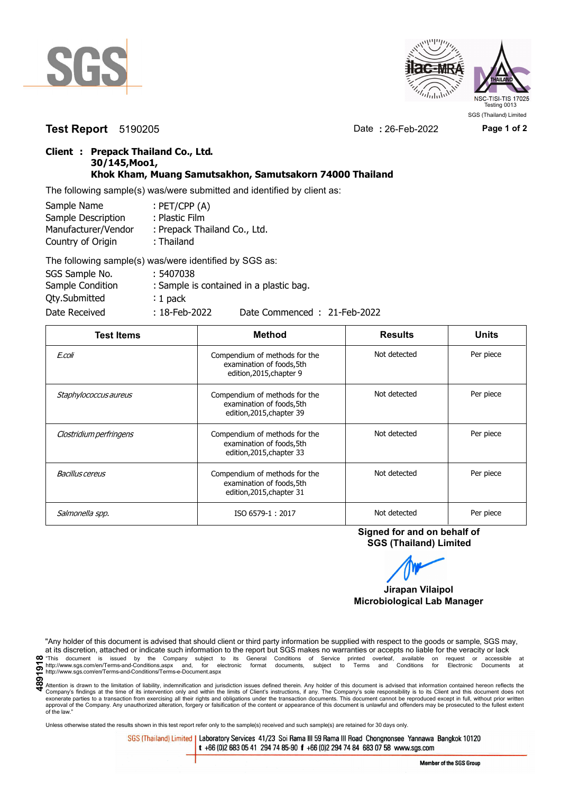



**Test Report** 5190205 Date **:** 26-Feb-2022 **Page 1 of 2**

## **Client : Prepack Thailand Co., Ltd. 30/145,Moo1, Khok Kham, Muang Samutsakhon, Samutsakorn 74000 Thailand**

The following sample(s) was/were submitted and identified by client as:

| Sample Name         | : $PET/CPP(A)$               |
|---------------------|------------------------------|
| Sample Description  | : Plastic Film               |
| Manufacturer/Vendor | : Prepack Thailand Co., Ltd. |
| Country of Origin   | : Thailand                   |
|                     |                              |

| The following sample(s) was/were identified by SGS as: |                  |                                         |
|--------------------------------------------------------|------------------|-----------------------------------------|
| SGS Sample No.                                         | : 5407038        |                                         |
| Sample Condition                                       |                  | : Sample is contained in a plastic bag. |
| <b>Qty.Submitted</b>                                   | $: 1$ pack       |                                         |
| Date Received                                          | $: 18$ -Feb-2022 | Date Commenced: 21-Feb-2022             |

| <b>Test Items</b>       | <b>Method</b>                                                                           | <b>Results</b> | <b>Units</b> |
|-------------------------|-----------------------------------------------------------------------------------------|----------------|--------------|
| E.coli                  | Compendium of methods for the<br>examination of foods, 5th<br>edition, 2015, chapter 9  | Not detected   | Per piece    |
| Staphylococcus aureus   | Compendium of methods for the<br>examination of foods, 5th<br>edition, 2015, chapter 39 | Not detected   | Per piece    |
| Clostridium perfringens | Compendium of methods for the<br>examination of foods, 5th<br>edition, 2015, chapter 33 | Not detected   | Per piece    |
| Bacillus cereus         | Compendium of methods for the<br>examination of foods, 5th<br>edition, 2015, chapter 31 | Not detected   | Per piece    |
| Salmonella spp.         | ISO 6579-1:2017                                                                         | Not detected   | Per piece    |

**Signed for and on behalf of SGS (Thailand) Limited**

**Jirapan Vilaipol Microbiological Lab Manager**

"Any holder of this document is advised that should client or third party information be supplied with respect to the goods or sample, SGS may, at its discretion, attached or indicate such information to the report but SGS makes no warranties or accepts no liable for the veracity or lack OF "This document is issued by the Company subject to its General Conditions of Service printed overleaf, available on request or accessible at the entropy.//www.sgs.com/en/Terms-and-Conditions.aspx and, for electronic fo http://www.sgs.com/en/Terms-and-Conditions/Terms-e-Document.aspx

Unless otherwise stated the results shown in this test report refer only to the sample(s) received and such sample(s) are retained for 30 days only.

SGS (Thailand) Limited | Laboratory Services 41/23 Soi Rama III 59 Rama III Road Chongnonsee Yannawa Bangkok 10120 t +66 (0)2 683 05 41 294 74 85-90 f +66 (0)2 294 74 84 683 07 58 www.sgs.com